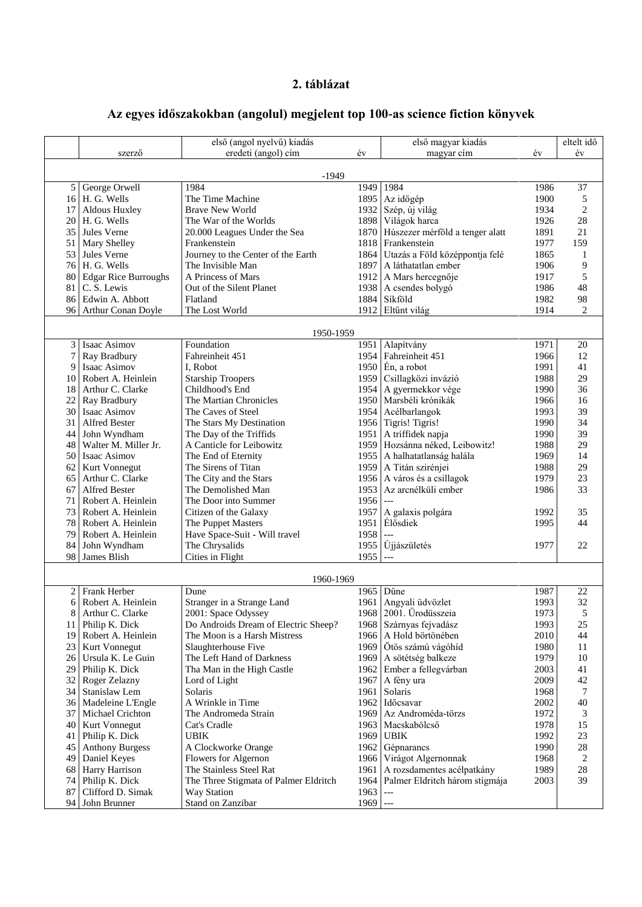## **2. táblázat**

## **Az egyes időszakokban (angolul) megjelent top 100-as science fiction könyvek**

|                |                                      | első (angol nyelvű) kiadás                          |              | első magyar kiadás               |              | eltelt idő     |  |  |  |  |  |
|----------------|--------------------------------------|-----------------------------------------------------|--------------|----------------------------------|--------------|----------------|--|--|--|--|--|
|                | szerző                               | eredeti (angol) cím                                 | év           | magyar cím                       | év           | év             |  |  |  |  |  |
| $-1949$        |                                      |                                                     |              |                                  |              |                |  |  |  |  |  |
| 5 <sup>1</sup> | George Orwell                        | 1984                                                | 1949         | 1984                             | 1986         | 37             |  |  |  |  |  |
|                | 16 H. G. Wells                       | The Time Machine                                    | 1895         | Az időgép                        | 1900         | 5              |  |  |  |  |  |
| 17             | Aldous Huxley                        | <b>Brave New World</b>                              | 1932         | Szép, új világ                   | 1934         | $\overline{c}$ |  |  |  |  |  |
|                | 20 H. G. Wells                       | The War of the Worlds                               | 1898         | Világok harca                    | 1926         | 28             |  |  |  |  |  |
| 35             | Jules Verne                          | 20.000 Leagues Under the Sea                        | 1870         | Húszezer mérföld a tenger alatt  | 1891         | 21             |  |  |  |  |  |
| 51             | Mary Shelley                         | Frankenstein                                        | 1818         | Frankenstein                     | 1977         | 159            |  |  |  |  |  |
|                | 53 Jules Verne                       | Journey to the Center of the Earth                  | 1864         | Utazás a Föld középpontja felé   | 1865         | 1              |  |  |  |  |  |
|                | 76 H. G. Wells                       | The Invisible Man                                   | 1897         | A láthatatlan ember              | 1906         | 9              |  |  |  |  |  |
| 80             | <b>Edgar Rice Burroughs</b>          | A Princess of Mars                                  | 1912         | A Mars hercegnője                | 1917         | 5              |  |  |  |  |  |
| 81             | C. S. Lewis                          | Out of the Silent Planet                            |              | 1938 A csendes bolygó            | 1986         | 48             |  |  |  |  |  |
|                | 86 Edwin A. Abbott                   | Flatland                                            | 1884         | Síkföld                          | 1982         | 98             |  |  |  |  |  |
|                | 96 Arthur Conan Doyle                | The Lost World                                      |              | 1912 Eltűnt világ                | 1914         | 2              |  |  |  |  |  |
|                |                                      |                                                     |              |                                  |              |                |  |  |  |  |  |
|                |                                      | 1950-1959                                           |              |                                  |              |                |  |  |  |  |  |
| 3 <sup>1</sup> | Isaac Asimov                         | Foundation                                          | 1951         | Alapítvány                       | 1971         | 20             |  |  |  |  |  |
| 7              | Ray Bradbury                         | Fahreinheit 451                                     | 1954         | Fahreinheit 451                  | 1966         | 12             |  |  |  |  |  |
| 9              | Isaac Asimov                         | I, Robot                                            | 1950         | En, a robot                      | 1991         | 41             |  |  |  |  |  |
| 10             | Robert A. Heinlein                   | <b>Starship Troopers</b>                            | 1959         | Csillagközi invázió              | 1988         | 29             |  |  |  |  |  |
| 18 I           | Arthur C. Clarke                     | Childhood's End                                     | 1954         | A gyermekkor vége                | 1990         | 36             |  |  |  |  |  |
| 22             | Ray Bradbury<br>30 Isaac Asimov      | The Martian Chronicles<br>The Caves of Steel        | 1950         | Marsbéli krónikák                | 1966<br>1993 | 16<br>39       |  |  |  |  |  |
| 31             | Alfred Bester                        |                                                     | 1954         | Acélbarlangok<br>Tigris! Tigris! | 1990         | 34             |  |  |  |  |  |
|                |                                      | The Stars My Destination<br>The Day of the Triffids | 1956         | A triffidek napja                | 1990         | 39             |  |  |  |  |  |
| 44  <br>48     | John Wyndham<br>Walter M. Miller Jr. | A Canticle for Leibowitz                            | 1951<br>1959 | Hozsánna néked, Leibowitz!       | 1988         | 29             |  |  |  |  |  |
|                | 50 Isaac Asimov                      |                                                     | 1955         | A halhatatlanság halála          | 1969         | 14             |  |  |  |  |  |
| 62             | Kurt Vonnegut                        | The End of Eternity<br>The Sirens of Titan          | 1959         | A Titán szirénjei                | 1988         | 29             |  |  |  |  |  |
| 65             | Arthur C. Clarke                     | The City and the Stars                              | 1956         | A város és a csillagok           | 1979         | 23             |  |  |  |  |  |
| 67             | <b>Alfred Bester</b>                 | The Demolished Man                                  | 1953         | Az arcnélküli ember              | 1986         | 33             |  |  |  |  |  |
| 71             | Robert A. Heinlein                   | The Door into Summer                                | 1956         |                                  |              |                |  |  |  |  |  |
| 73             | Robert A. Heinlein                   | Citizen of the Galaxy                               | 1957         | A galaxis polgára                | 1992         | 35             |  |  |  |  |  |
|                | 78 Robert A. Heinlein                | The Puppet Masters                                  | 1951         | Élősdiek                         | 1995         | 44             |  |  |  |  |  |
| 79             | Robert A. Heinlein                   | Have Space-Suit - Will travel                       | 1958         | $\overline{a}$                   |              |                |  |  |  |  |  |
| 84             | John Wyndham                         | The Chrysalids                                      | 1955         | Újjászületés                     | 1977         | 22             |  |  |  |  |  |
| 98             | James Blish                          | Cities in Flight                                    | 1955         | $\overline{a}$                   |              |                |  |  |  |  |  |
|                |                                      |                                                     |              |                                  |              |                |  |  |  |  |  |
|                |                                      | 1960-1969                                           |              |                                  |              |                |  |  |  |  |  |
|                | 2 Frank Herber                       | Dune                                                | 1965         | Dűne                             | 1987         | 22             |  |  |  |  |  |
| 6              | Robert A. Heinlein                   | Stranger in a Strange Land                          | 1961         | Angyali üdvözlet                 | 1993         | 32             |  |  |  |  |  |
| 8              | Arthur C. Clarke                     | 2001: Space Odyssey                                 |              | 1968   2001. Ürodüsszeia         | 1973         | 5              |  |  |  |  |  |
| 11             | Philip K. Dick                       | Do Androids Dream of Electric Sheep?                | 1968         | Szárnyas fejvadász               | 1993         | 25             |  |  |  |  |  |
| 19             | Robert A. Heinlein                   | The Moon is a Harsh Mistress                        | 1966         | A Hold börtönében                | 2010         | 44             |  |  |  |  |  |
| 23             | <b>Kurt Vonnegut</b>                 | Slaughterhouse Five                                 | 1969         | Ötös számú vágóhíd               | 1980         | 11             |  |  |  |  |  |
| 26             | Ursula K. Le Guin                    | The Left Hand of Darkness                           | 1969         | A sötétség balkeze               | 1979         | 10             |  |  |  |  |  |
| 29             | Philip K. Dick                       | Tha Man in the High Castle                          | 1962         | Ember a fellegvárban             | 2003         | 41             |  |  |  |  |  |
| 32             | Roger Zelazny                        | Lord of Light                                       | 1967         | A fény ura                       | 2009         | 42             |  |  |  |  |  |
| 34             | Stanislaw Lem                        | Solaris                                             | 1961         | Solaris                          | 1968         | 7              |  |  |  |  |  |
| 36             | Madeleine L'Engle                    | A Wrinkle in Time                                   | 1962         | Időcsavar                        | 2002         | 40             |  |  |  |  |  |
| 37             | Michael Crichton                     | The Andromeda Strain                                | 1969         | Az Androméda-törzs               | 1972         | 3              |  |  |  |  |  |
|                | 40   Kurt Vonnegut                   | Cat's Cradle                                        | 1963         | Macskabölcső                     | 1978         | 15             |  |  |  |  |  |
| 41             | Philip K. Dick                       | <b>UBIK</b>                                         | 1969         | <b>UBIK</b>                      | 1992         | 23             |  |  |  |  |  |
| 45             | <b>Anthony Burgess</b>               | A Clockworke Orange                                 | 1962         | Gépnarancs                       | 1990         | 28             |  |  |  |  |  |
| 49             | Daniel Keyes                         | Flowers for Algernon                                | 1966         | Virágot Algernonnak              | 1968         | 2              |  |  |  |  |  |
| 68             | <b>Harry Harrison</b>                | The Stainless Steel Rat                             | 1961         | A rozsdamentes acélpatkány       | 1989         | 28             |  |  |  |  |  |
| 74             | Philip K. Dick                       | The Three Stigmata of Palmer Eldritch               | 1964         | Palmer Eldritch három stigmája   | 2003         | 39             |  |  |  |  |  |
| 87             | Clifford D. Simak                    | Way Station                                         | 1963         | $\overline{a}$                   |              |                |  |  |  |  |  |
| 94 I           | John Brunner                         | Stand on Zanzibar                                   | 1969         | $\overline{\phantom{a}}$         |              |                |  |  |  |  |  |